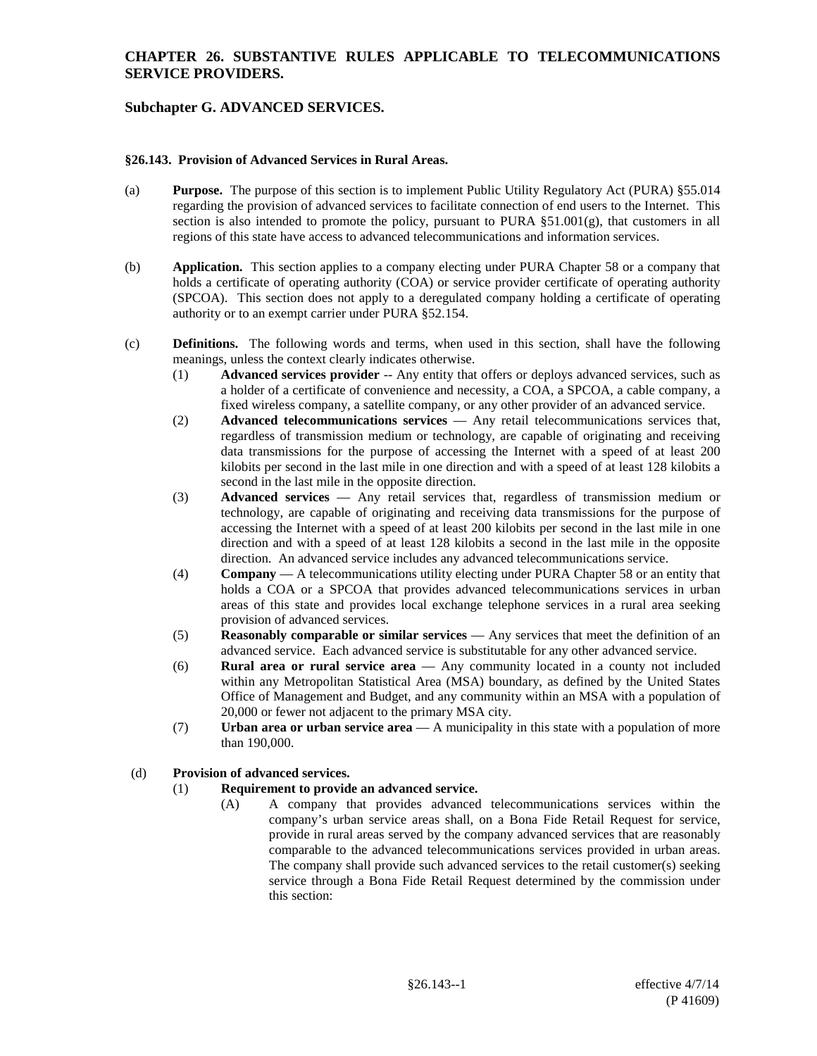# **Subchapter G. ADVANCED SERVICES.**

#### **§26.143. Provision of Advanced Services in Rural Areas.**

- (a) **Purpose.** The purpose of this section is to implement Public Utility Regulatory Act (PURA) §55.014 regarding the provision of advanced services to facilitate connection of end users to the Internet. This section is also intended to promote the policy, pursuant to PURA  $\S51.001(g)$ , that customers in all regions of this state have access to advanced telecommunications and information services.
- (b) **Application.** This section applies to a company electing under PURA Chapter 58 or a company that holds a certificate of operating authority (COA) or service provider certificate of operating authority (SPCOA). This section does not apply to a deregulated company holding a certificate of operating authority or to an exempt carrier under PURA §52.154.
- (c) **Definitions.** The following words and terms, when used in this section, shall have the following meanings, unless the context clearly indicates otherwise.
	- (1) **Advanced services provider** -- Any entity that offers or deploys advanced services, such as a holder of a certificate of convenience and necessity, a COA, a SPCOA, a cable company, a fixed wireless company, a satellite company, or any other provider of an advanced service.
	- (2) **Advanced telecommunications services**  Any retail telecommunications services that, regardless of transmission medium or technology, are capable of originating and receiving data transmissions for the purpose of accessing the Internet with a speed of at least 200 kilobits per second in the last mile in one direction and with a speed of at least 128 kilobits a second in the last mile in the opposite direction.
	- (3) **Advanced services** Any retail services that, regardless of transmission medium or technology, are capable of originating and receiving data transmissions for the purpose of accessing the Internet with a speed of at least 200 kilobits per second in the last mile in one direction and with a speed of at least 128 kilobits a second in the last mile in the opposite direction. An advanced service includes any advanced telecommunications service.
	- (4) **Company**  A telecommunications utility electing under PURA Chapter 58 or an entity that holds a COA or a SPCOA that provides advanced telecommunications services in urban areas of this state and provides local exchange telephone services in a rural area seeking provision of advanced services.
	- (5) **Reasonably comparable or similar services**  Any services that meet the definition of an advanced service. Each advanced service is substitutable for any other advanced service.
	- (6) **Rural area or rural service area** Any community located in a county not included within any Metropolitan Statistical Area (MSA) boundary, as defined by the United States Office of Management and Budget, and any community within an MSA with a population of 20,000 or fewer not adjacent to the primary MSA city.
	- (7) **Urban area or urban service area**  A municipality in this state with a population of more than 190,000.

# (d) **Provision of advanced services.**

#### (1) **Requirement to provide an advanced service.**

(A) A company that provides advanced telecommunications services within the company's urban service areas shall, on a Bona Fide Retail Request for service, provide in rural areas served by the company advanced services that are reasonably comparable to the advanced telecommunications services provided in urban areas. The company shall provide such advanced services to the retail customer(s) seeking service through a Bona Fide Retail Request determined by the commission under this section: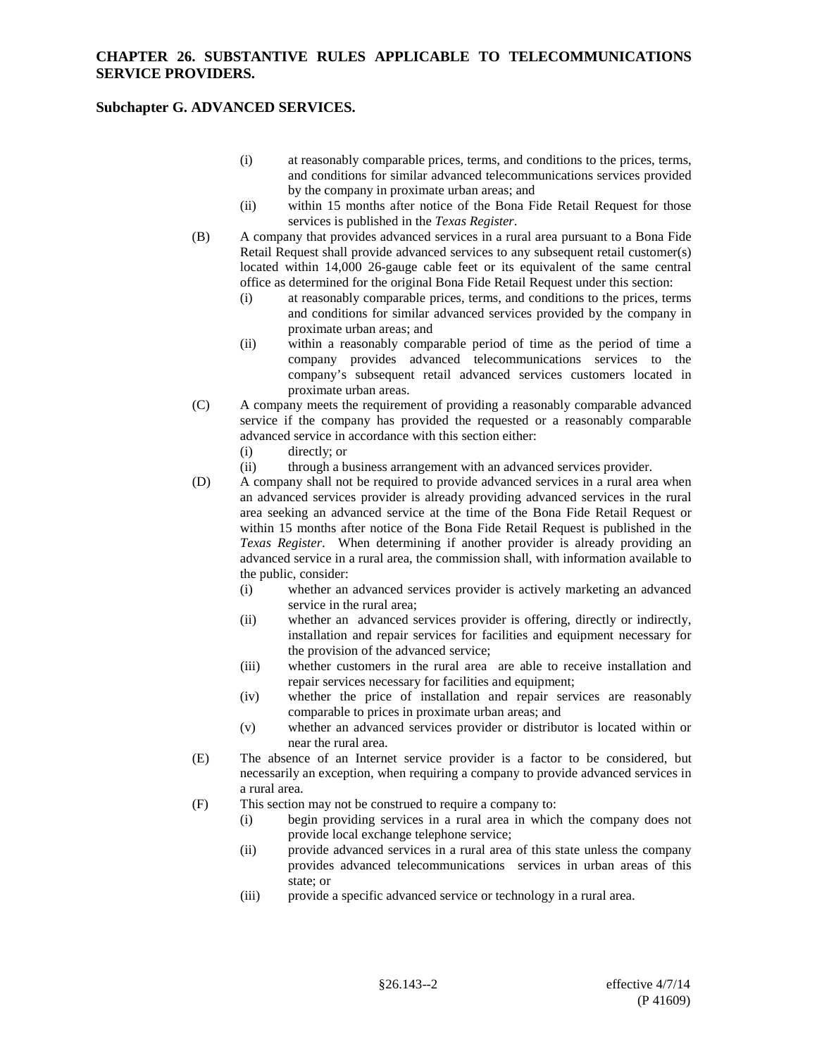#### **Subchapter G. ADVANCED SERVICES.**

- (i) at reasonably comparable prices, terms, and conditions to the prices, terms, and conditions for similar advanced telecommunications services provided by the company in proximate urban areas; and
- (ii) within 15 months after notice of the Bona Fide Retail Request for those services is published in the *Texas Register*.
- (B) A company that provides advanced services in a rural area pursuant to a Bona Fide Retail Request shall provide advanced services to any subsequent retail customer(s) located within 14,000 26-gauge cable feet or its equivalent of the same central office as determined for the original Bona Fide Retail Request under this section:
	- (i) at reasonably comparable prices, terms, and conditions to the prices, terms and conditions for similar advanced services provided by the company in proximate urban areas; and
	- (ii) within a reasonably comparable period of time as the period of time a company provides advanced telecommunications services to the company's subsequent retail advanced services customers located in proximate urban areas.
- (C) A company meets the requirement of providing a reasonably comparable advanced service if the company has provided the requested or a reasonably comparable advanced service in accordance with this section either:
	- (i) directly; or
	- (ii) through a business arrangement with an advanced services provider.
- (D) A company shall not be required to provide advanced services in a rural area when an advanced services provider is already providing advanced services in the rural area seeking an advanced service at the time of the Bona Fide Retail Request or within 15 months after notice of the Bona Fide Retail Request is published in the *Texas Register*. When determining if another provider is already providing an advanced service in a rural area, the commission shall, with information available to the public, consider:
	- (i) whether an advanced services provider is actively marketing an advanced service in the rural area;
	- (ii) whether an advanced services provider is offering, directly or indirectly, installation and repair services for facilities and equipment necessary for the provision of the advanced service;
	- (iii) whether customers in the rural area are able to receive installation and repair services necessary for facilities and equipment;
	- (iv) whether the price of installation and repair services are reasonably comparable to prices in proximate urban areas; and
	- (v) whether an advanced services provider or distributor is located within or near the rural area.
- (E) The absence of an Internet service provider is a factor to be considered, but necessarily an exception, when requiring a company to provide advanced services in a rural area.
- (F) This section may not be construed to require a company to:
	- (i) begin providing services in a rural area in which the company does not provide local exchange telephone service;
	- (ii) provide advanced services in a rural area of this state unless the company provides advanced telecommunications services in urban areas of this state; or
	- (iii) provide a specific advanced service or technology in a rural area.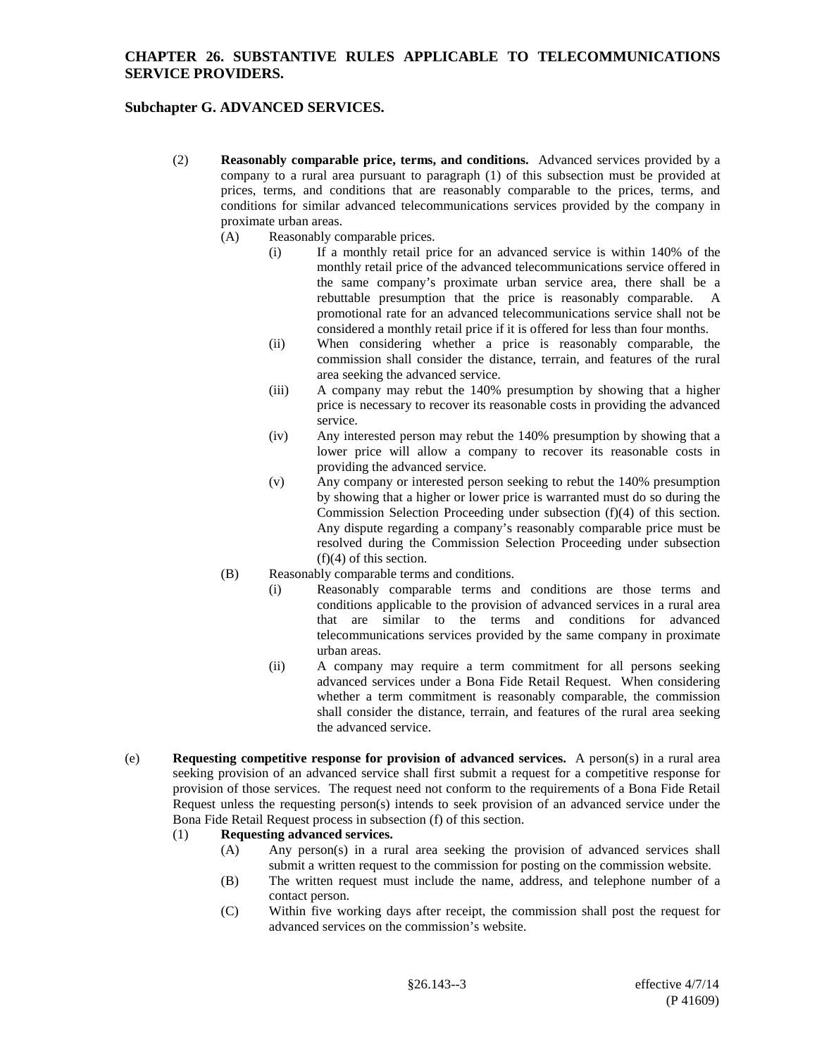# **Subchapter G. ADVANCED SERVICES.**

- (2) **Reasonably comparable price, terms, and conditions.** Advanced services provided by a company to a rural area pursuant to paragraph (1) of this subsection must be provided at prices, terms, and conditions that are reasonably comparable to the prices, terms, and conditions for similar advanced telecommunications services provided by the company in proximate urban areas.
	- (A) Reasonably comparable prices.
		- (i) If a monthly retail price for an advanced service is within 140% of the monthly retail price of the advanced telecommunications service offered in the same company's proximate urban service area, there shall be a rebuttable presumption that the price is reasonably comparable. A promotional rate for an advanced telecommunications service shall not be considered a monthly retail price if it is offered for less than four months.
		- (ii) When considering whether a price is reasonably comparable, the commission shall consider the distance, terrain, and features of the rural area seeking the advanced service.
		- (iii) A company may rebut the 140% presumption by showing that a higher price is necessary to recover its reasonable costs in providing the advanced service.
		- (iv) Any interested person may rebut the 140% presumption by showing that a lower price will allow a company to recover its reasonable costs in providing the advanced service.
		- (v) Any company or interested person seeking to rebut the 140% presumption by showing that a higher or lower price is warranted must do so during the Commission Selection Proceeding under subsection (f)(4) of this section. Any dispute regarding a company's reasonably comparable price must be resolved during the Commission Selection Proceeding under subsection (f)(4) of this section.
	- (B) Reasonably comparable terms and conditions.
		- (i) Reasonably comparable terms and conditions are those terms and conditions applicable to the provision of advanced services in a rural area that are similar to the terms and conditions for advanced telecommunications services provided by the same company in proximate urban areas.
		- (ii) A company may require a term commitment for all persons seeking advanced services under a Bona Fide Retail Request. When considering whether a term commitment is reasonably comparable, the commission shall consider the distance, terrain, and features of the rural area seeking the advanced service.
- (e) **Requesting competitive response for provision of advanced services.** A person(s) in a rural area seeking provision of an advanced service shall first submit a request for a competitive response for provision of those services. The request need not conform to the requirements of a Bona Fide Retail Request unless the requesting person(s) intends to seek provision of an advanced service under the Bona Fide Retail Request process in subsection (f) of this section.

#### (1) **Requesting advanced services.**

- (A) Any person(s) in a rural area seeking the provision of advanced services shall submit a written request to the commission for posting on the commission website.
- (B) The written request must include the name, address, and telephone number of a contact person.
- (C) Within five working days after receipt, the commission shall post the request for advanced services on the commission's website.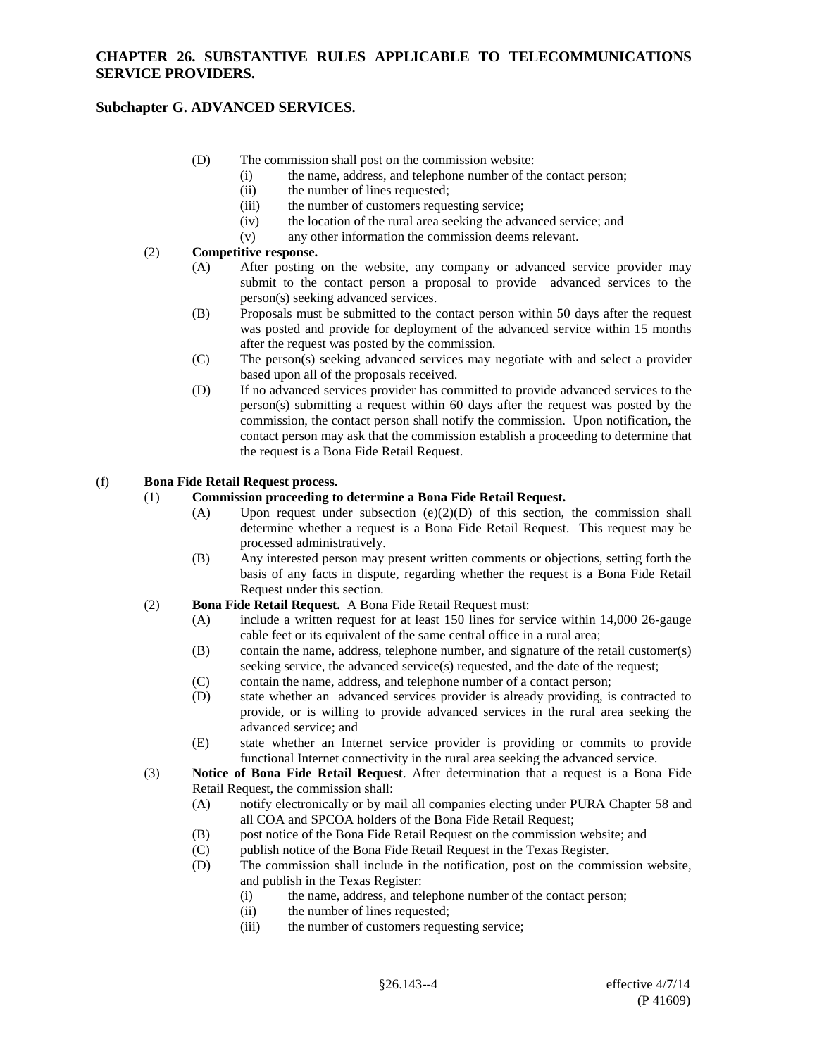# **Subchapter G. ADVANCED SERVICES.**

- (D) The commission shall post on the commission website:
	- (i) the name, address, and telephone number of the contact person;
	- (ii) the number of lines requested;
	- (iii) the number of customers requesting service;
	- (iv) the location of the rural area seeking the advanced service; and
	- (v) any other information the commission deems relevant.

#### (2) **Competitive response.**

- (A) After posting on the website, any company or advanced service provider may submit to the contact person a proposal to provide advanced services to the person(s) seeking advanced services.
- (B) Proposals must be submitted to the contact person within 50 days after the request was posted and provide for deployment of the advanced service within 15 months after the request was posted by the commission.
- (C) The person(s) seeking advanced services may negotiate with and select a provider based upon all of the proposals received.
- (D) If no advanced services provider has committed to provide advanced services to the person(s) submitting a request within 60 days after the request was posted by the commission, the contact person shall notify the commission. Upon notification, the contact person may ask that the commission establish a proceeding to determine that the request is a Bona Fide Retail Request.

#### (f) **Bona Fide Retail Request process.**

#### (1) **Commission proceeding to determine a Bona Fide Retail Request.**

- (A) Upon request under subsection (e)(2)(D) of this section, the commission shall determine whether a request is a Bona Fide Retail Request. This request may be processed administratively.
- (B) Any interested person may present written comments or objections, setting forth the basis of any facts in dispute, regarding whether the request is a Bona Fide Retail Request under this section.
- (2) **Bona Fide Retail Request.** A Bona Fide Retail Request must:
	- (A) include a written request for at least 150 lines for service within 14,000 26-gauge cable feet or its equivalent of the same central office in a rural area;
	- (B) contain the name, address, telephone number, and signature of the retail customer(s) seeking service, the advanced service(s) requested, and the date of the request;
	- (C) contain the name, address, and telephone number of a contact person;
	- (D) state whether an advanced services provider is already providing, is contracted to provide, or is willing to provide advanced services in the rural area seeking the advanced service; and
	- (E) state whether an Internet service provider is providing or commits to provide functional Internet connectivity in the rural area seeking the advanced service.
- (3) **Notice of Bona Fide Retail Request**. After determination that a request is a Bona Fide Retail Request, the commission shall:
	- (A) notify electronically or by mail all companies electing under PURA Chapter 58 and all COA and SPCOA holders of the Bona Fide Retail Request;
	- (B) post notice of the Bona Fide Retail Request on the commission website; and  $(C)$  publish notice of the Bona Fide Retail Request in the Texas Register.
	- publish notice of the Bona Fide Retail Request in the Texas Register.
	- (D) The commission shall include in the notification, post on the commission website, and publish in the Texas Register:
		- (i) the name, address, and telephone number of the contact person;
		- (ii) the number of lines requested;
		- (iii) the number of customers requesting service;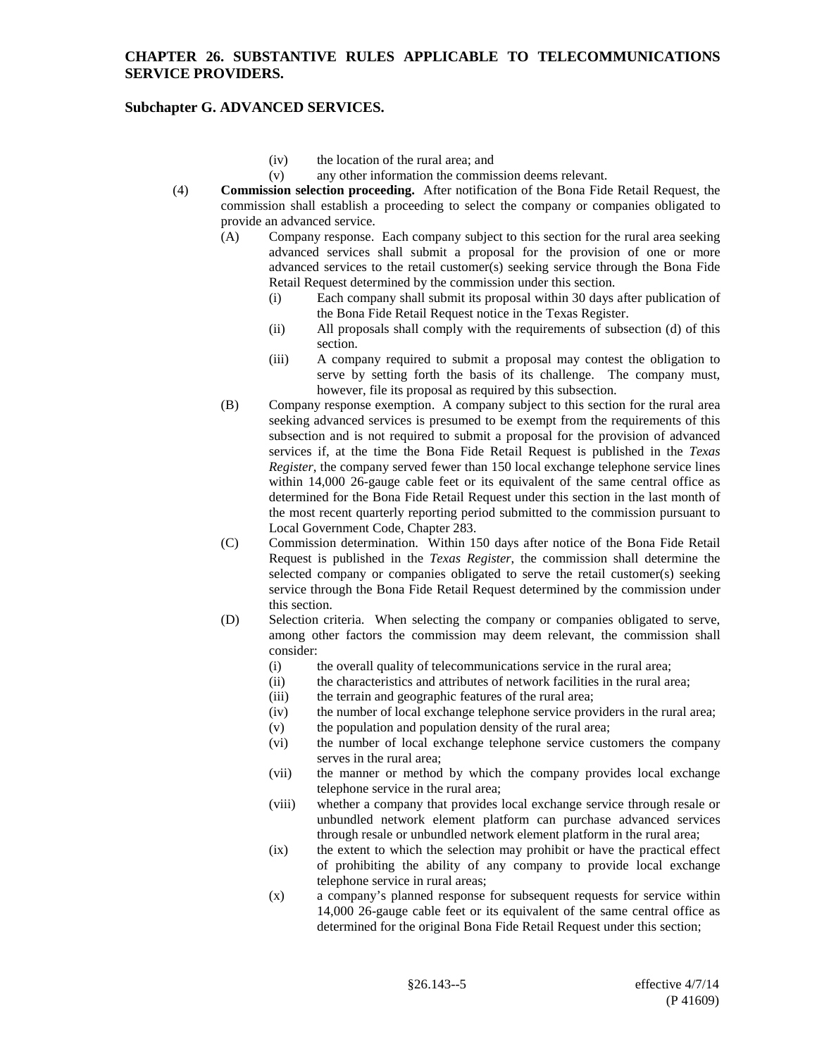# **Subchapter G. ADVANCED SERVICES.**

- (iv) the location of the rural area; and
- (v) any other information the commission deems relevant.
- (4) **Commission selection proceeding.** After notification of the Bona Fide Retail Request, the commission shall establish a proceeding to select the company or companies obligated to provide an advanced service.
	- (A) Company response. Each company subject to this section for the rural area seeking advanced services shall submit a proposal for the provision of one or more advanced services to the retail customer(s) seeking service through the Bona Fide Retail Request determined by the commission under this section.
		- (i) Each company shall submit its proposal within 30 days after publication of the Bona Fide Retail Request notice in the Texas Register.
		- (ii) All proposals shall comply with the requirements of subsection (d) of this section.
		- (iii) A company required to submit a proposal may contest the obligation to serve by setting forth the basis of its challenge. The company must, however, file its proposal as required by this subsection.
	- (B) Company response exemption. A company subject to this section for the rural area seeking advanced services is presumed to be exempt from the requirements of this subsection and is not required to submit a proposal for the provision of advanced services if, at the time the Bona Fide Retail Request is published in the *Texas Register*, the company served fewer than 150 local exchange telephone service lines within 14,000 26-gauge cable feet or its equivalent of the same central office as determined for the Bona Fide Retail Request under this section in the last month of the most recent quarterly reporting period submitted to the commission pursuant to Local Government Code, Chapter 283.
	- (C) Commission determination. Within 150 days after notice of the Bona Fide Retail Request is published in the *Texas Register*, the commission shall determine the selected company or companies obligated to serve the retail customer(s) seeking service through the Bona Fide Retail Request determined by the commission under this section.
	- (D) Selection criteria. When selecting the company or companies obligated to serve, among other factors the commission may deem relevant, the commission shall consider:
		- (i) the overall quality of telecommunications service in the rural area;
		- (ii) the characteristics and attributes of network facilities in the rural area;
		- (iii) the terrain and geographic features of the rural area;
		- (iv) the number of local exchange telephone service providers in the rural area;
		- (v) the population and population density of the rural area;
		- (vi) the number of local exchange telephone service customers the company serves in the rural area;
		- (vii) the manner or method by which the company provides local exchange telephone service in the rural area;
		- (viii) whether a company that provides local exchange service through resale or unbundled network element platform can purchase advanced services through resale or unbundled network element platform in the rural area;
		- (ix) the extent to which the selection may prohibit or have the practical effect of prohibiting the ability of any company to provide local exchange telephone service in rural areas;
		- (x) a company's planned response for subsequent requests for service within 14,000 26-gauge cable feet or its equivalent of the same central office as determined for the original Bona Fide Retail Request under this section;